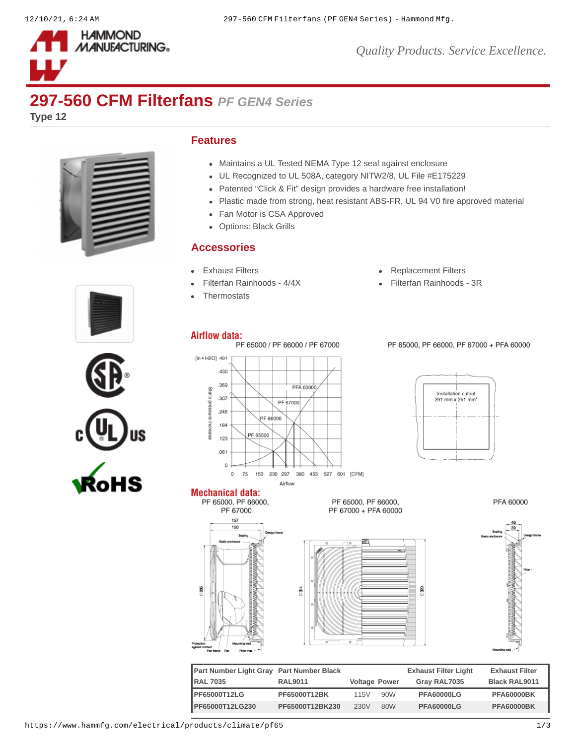

## **297-560 CFM Filterfans** *PF GEN4 Series*

**Type 12**



## **Features**

- Maintains a UL Tested NEMA Type 12 seal against enclosure
- UL Recognized to UL 508A, category NITW2/8, UL File #E175229
- Patented "Click & Fit" design provides a hardware free installation!
- Plastic made from strong, heat resistant ABS-FR, UL 94 V0 fire approved material
- Fan Motor is CSA Approved
- Options: Black Grills

## **Accessories**

- 
- 
- **[Thermostats](https://www.hammfg.com/electrical/products/climate/skt?referer=413&itm_type=accessory)**
- [Exhaust Filters](https://www.hammfg.com/electrical/products/climate/pfag4?referer=413&itm_type=accessory) **Exhaust Filters [Replacement Filters](https://www.hammfg.com/electrical/products/climate/pffg4?referer=413&itm_type=accessory)**

380

[Filterfan Rainhoods - 4/4X](https://www.hammfg.com/electrical/products/climate/rhn4?referer=413&itm_type=accessory) **[Filterfan Rainhoods - 3R](https://www.hammfg.com/electrical/products/climate/rh?referer=413&itm_type=accessory)** 





**Mechanical data:** 

PF 65000, PF 66000,

 $157$ 150

PF 67000



 $\frac{4}{314}$ 



PF 65000, PF 66000, PF 67000 + PFA 60000

PFA 60000



| Part Number Light Gray Part Number Black |                 |                      |     | <b>Exhaust Filter Light</b> | <b>Exhaust Filter</b> |
|------------------------------------------|-----------------|----------------------|-----|-----------------------------|-----------------------|
| <b>RAL 7035</b>                          | <b>RAL9011</b>  | <b>Voltage Power</b> |     | Gray RAL7035                | <b>Black RAL9011</b>  |
| <b>IPF65000T12LG</b>                     | PF65000T12BK    | 115V                 | 90W | <b>PFA60000LG</b>           | <b>PFA60000BK</b>     |
| PF65000T12LG230                          | PF65000T12BK230 | 230V                 | 80W | <b>PFA60000LG</b>           | <b>PFA60000BK</b>     |

PF 65000, PF 66000,

PF 67000 + PFA 60000

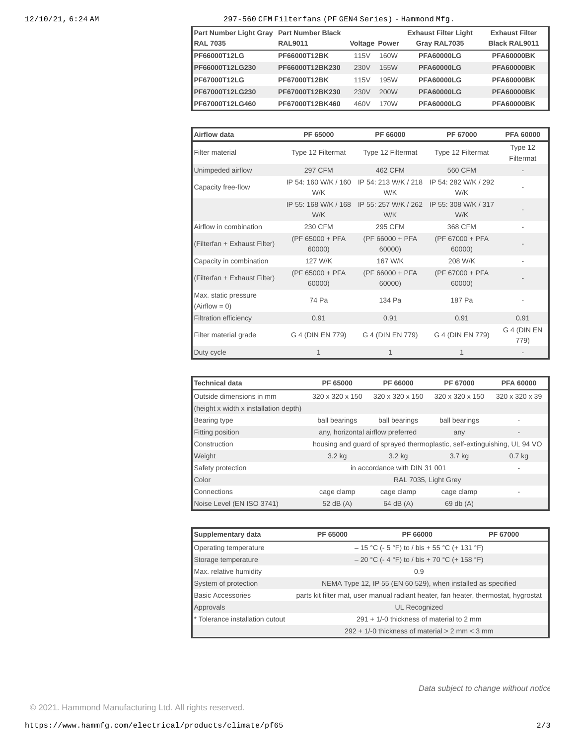## 12/10/21, 6:24 AM 297-560 CFM Filterfans (PF GEN4 Series) - Hammond Mfg.

| <b>Part Number Light Gray</b><br><b>RAL 7035</b> | <b>Part Number Black</b><br><b>RAL9011</b> | <b>Voltage Power</b> |      | <b>Exhaust Filter Light</b><br>Gray RAL7035 | <b>Exhaust Filter</b><br><b>Black RAL9011</b> |
|--------------------------------------------------|--------------------------------------------|----------------------|------|---------------------------------------------|-----------------------------------------------|
| <b>PF66000T12LG</b>                              | PF66000T12BK                               | 115V                 | 160W | <b>PFA60000LG</b>                           | <b>PFA60000BK</b>                             |
| PF66000T12LG230                                  | PF66000T12BK230                            | 230V                 | 155W | <b>PFA60000LG</b>                           | <b>PFA60000BK</b>                             |
| PF67000T12LG                                     | PF67000T12BK                               | 115V                 | 195W | <b>PFA60000LG</b>                           | <b>PFA60000BK</b>                             |
| PF67000T12LG230                                  | PF67000T12BK230                            | 230V                 | 200W | <b>PFA60000LG</b>                           | <b>PFA60000BK</b>                             |
| PF67000T12LG460                                  | PF67000T12BK460                            | 460V                 | 170W | <b>PFA60000LG</b>                           | <b>PFA60000BK</b>                             |

| Airflow data                            | PF 65000                    | PF 66000                                         | PF 67000                    | <b>PFA 60000</b>         |
|-----------------------------------------|-----------------------------|--------------------------------------------------|-----------------------------|--------------------------|
| Filter material                         | Type 12 Filtermat           | Type 12 Filtermat                                | Type 12 Filtermat           | Type 12<br>Filtermat     |
| Unimpeded airflow                       | <b>297 CFM</b>              | 462 CFM                                          | 560 CFM                     |                          |
| Capacity free-flow                      | IP 54: 160 W/K / 160<br>W/K | IP 54: 213 W/K / 218<br>W/K                      | IP 54: 282 W/K / 292<br>W/K |                          |
|                                         | W/K                         | IP 55: 168 W/K / 168 IP 55: 257 W/K / 262<br>W/K | IP 55: 308 W/K / 317<br>W/K |                          |
| Airflow in combination                  | 230 CFM                     | 295 CFM                                          | 368 CFM                     | $\qquad \qquad -$        |
| (Filterfan + Exhaust Filter)            | (PF 65000 + PFA<br>60000)   | $(PF 66000 + PFA)$<br>60000)                     | (PF 67000 + PFA<br>60000)   |                          |
| Capacity in combination                 | 127 W/K                     | 167 W/K                                          | 208 W/K                     | $\overline{\phantom{0}}$ |
| (Filterfan + Exhaust Filter)            | (PF 65000 + PFA)<br>60000)  | (PF 66000 + PFA<br>60000)                        | (PF 67000 + PFA<br>60000)   |                          |
| Max. static pressure<br>$(Airflow = 0)$ | 74 Pa                       | 134 Pa                                           | 187 Pa                      |                          |
| <b>Filtration efficiency</b>            | 0.91                        | 0.91                                             | 0.91                        | 0.91                     |
| Filter material grade                   | G 4 (DIN EN 779)            | G 4 (DIN EN 779)                                 | G 4 (DIN EN 779)            | G 4 (DIN EN<br>779)      |
| Duty cycle                              | $\mathbf{1}$                | $\mathbf{1}$                                     | $\mathbf{1}$                |                          |

| <b>Technical data</b>                 | PF 65000                                        | PF 66000        | PF 67000                                                                 | <b>PFA 60000</b>  |
|---------------------------------------|-------------------------------------------------|-----------------|--------------------------------------------------------------------------|-------------------|
| Outside dimensions in mm              | 320 x 320 x 150                                 | 320 x 320 x 150 | 320 x 320 x 150                                                          | 320 x 320 x 39    |
| (height x width x installation depth) |                                                 |                 |                                                                          |                   |
| Bearing type                          | ball bearings                                   | ball bearings   | ball bearings                                                            | $\overline{a}$    |
| Fitting position                      | any, horizontal airflow preferred               |                 | any                                                                      |                   |
| Construction                          |                                                 |                 | housing and quard of sprayed thermoplastic, self-extinguishing, UL 94 VO |                   |
| Weight                                | 3.2 kg                                          | $3.2$ kg        | 3.7 kg                                                                   | 0.7 <sub>kg</sub> |
| Safety protection                     | in accordance with DIN 31 001<br>$\overline{a}$ |                 |                                                                          |                   |
| Color                                 | RAL 7035, Light Grey                            |                 |                                                                          |                   |
| Connections                           | cage clamp                                      | cage clamp      | cage clamp                                                               |                   |
| Noise Level (EN ISO 3741)             | 52 dB (A)                                       | $64$ dB $(A)$   | $69$ db $(A)$                                                            |                   |

| Supplementary data              | PF 65000 | PF 66000                                                                            | PF 67000 |
|---------------------------------|----------|-------------------------------------------------------------------------------------|----------|
| Operating temperature           |          | $-15$ °C (- 5 °F) to / bis + 55 °C (+ 131 °F)                                       |          |
| Storage temperature             |          | $-20$ °C (-4 °F) to / bis + 70 °C (+ 158 °F)                                        |          |
| Max. relative humidity          |          | 0.9                                                                                 |          |
| System of protection            |          | NEMA Type 12, IP 55 (EN 60 529), when installed as specified                        |          |
| <b>Basic Accessories</b>        |          | parts kit filter mat, user manual radiant heater, fan heater, thermostat, hygrostat |          |
| Approvals                       |          | UL Recognized                                                                       |          |
| * Tolerance installation cutout |          | $291 + 1/$ -0 thickness of material to 2 mm                                         |          |
|                                 |          | $292 + 1/-0$ thickness of material $> 2$ mm $<$ 3 mm                                |          |

*Data subject to change without notice*